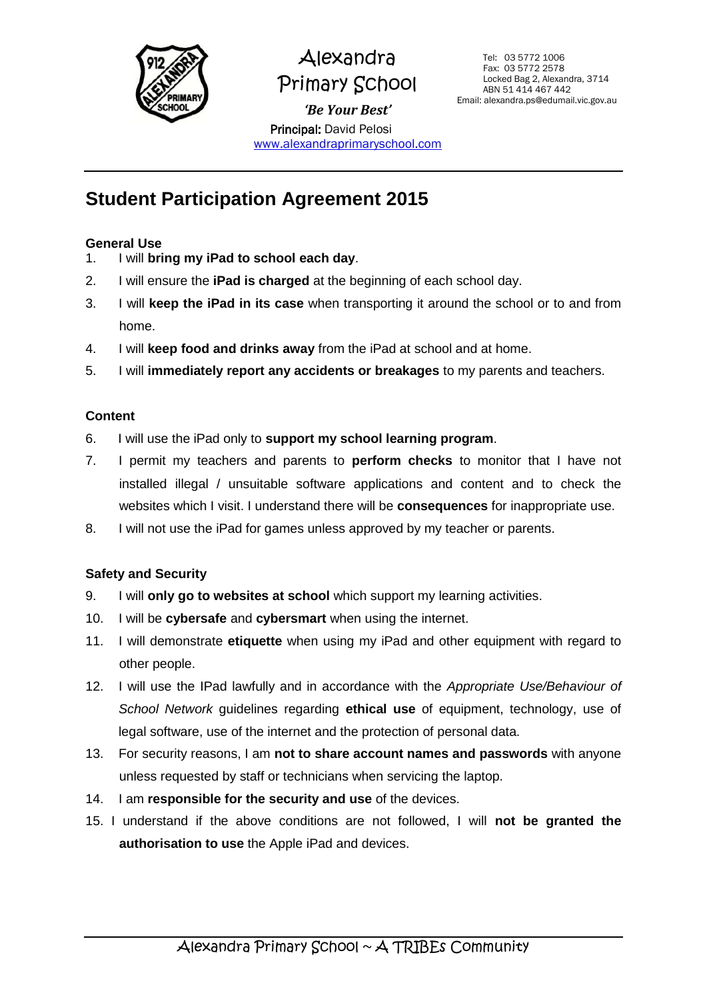

## Alexandra Primary School *'Be Your Best'* Principal: David Pelosi

[www.alexandraprimaryschool.com](http://www.alexandraprimaryschool.com/)

## **Student Participation Agreement 2015**

#### **General Use**

- 1. I will **bring my iPad to school each day**.
- 2. I will ensure the **iPad is charged** at the beginning of each school day.
- 3. I will **keep the iPad in its case** when transporting it around the school or to and from home.
- 4. I will **keep food and drinks away** from the iPad at school and at home.
- 5. I will **immediately report any accidents or breakages** to my parents and teachers.

#### **Content**

- 6. I will use the iPad only to **support my school learning program**.
- 7. I permit my teachers and parents to **perform checks** to monitor that I have not installed illegal / unsuitable software applications and content and to check the websites which I visit. I understand there will be **consequences** for inappropriate use.
- 8. I will not use the iPad for games unless approved by my teacher or parents.

### **Safety and Security**

- 9. I will **only go to websites at school** which support my learning activities.
- 10. I will be **cybersafe** and **cybersmart** when using the internet.
- 11. I will demonstrate **etiquette** when using my iPad and other equipment with regard to other people.
- 12. I will use the IPad lawfully and in accordance with the *Appropriate Use/Behaviour of School Network* guidelines regarding **ethical use** of equipment, technology, use of legal software, use of the internet and the protection of personal data.
- 13. For security reasons, I am **not to share account names and passwords** with anyone unless requested by staff or technicians when servicing the laptop.
- 14. I am **responsible for the security and use** of the devices.
- 15. I understand if the above conditions are not followed, I will **not be granted the authorisation to use** the Apple iPad and devices.